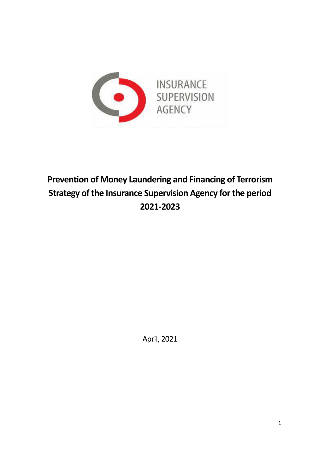

# **Prevention of Money Laundering and Financing of Terrorism Strategy of the Insurance Supervision Agency for the period 2021-2023**

April, 2021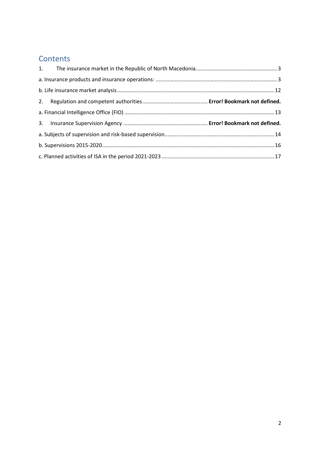## **Contents**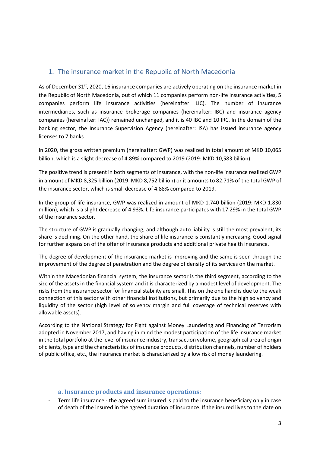## <span id="page-2-0"></span>1. The insurance market in the Republic of North Macedonia

As of December 31<sup>st</sup>, 2020, 16 insurance companies are actively operating on the insurance market in the Republic of North Macedonia, out of which 11 companies perform non-life insurance activities, 5 companies perform life insurance activities (hereinafter: LIC). The number of insurance intermediaries, such as insurance brokerage companies (hereinafter: IBC) and insurance agency companies (hereinafter: IAC)) remained unchanged, and it is 40 IBC and 10 IRC. In the domain of the banking sector, the Insurance Supervision Agency (hereinafter: ISA) has issued insurance agency licenses to 7 banks.

In 2020, the gross written premium (hereinafter: GWP) was realized in total amount of MKD 10,065 billion, which is a slight decrease of 4.89% compared to 2019 (2019: MKD 10,583 billion).

The positive trend is present in both segments of insurance, with the non-life insurance realized GWP in amount of MKD 8,325 billion (2019: MKD 8,752 billion) or it amounts to 82.71% of the total GWP of the insurance sector, which is small decrease of 4.88% compared to 2019.

In the group of life insurance, GWP was realized in amount of MKD 1.740 billion (2019: MKD 1.830 million), which is a slight decrease of 4.93%. Life insurance participates with 17.29% in the total GWP of the insurance sector.

The structure of GWP is gradually changing, and although auto liability is still the most prevalent, its share is declining. On the other hand, the share of life insurance is constantly increasing. Good signal for further expansion of the offer of insurance products and additional private health insurance.

The degree of development of the insurance market is improving and the same is seen through the improvement of the degree of penetration and the degree of density of its services on the market.

Within the Macedonian financial system, the insurance sector is the third segment, according to the size of the assets in the financial system and it is characterized by a modest level of development. The risks from the insurance sector for financial stability are small. This on the one hand is due to the weak connection of this sector with other financial institutions, but primarily due to the high solvency and liquidity of the sector (high level of solvency margin and full coverage of technical reserves with allowable assets).

According to the National Strategy for Fight against Money Laundering and Financing of Terrorism adopted in November 2017, and having in mind the modest participation of the life insurance market in the total portfolio at the level of insurance industry, transaction volume, geographical area of origin of clients, type and the characteristics of insurance products, distribution channels, number of holders of public office, etc., the insurance market is characterized by a low risk of money laundering.

#### **a. Insurance products and insurance operations:**

<span id="page-2-1"></span>Term life insurance - the agreed sum insured is paid to the insurance beneficiary only in case of death of the insured in the agreed duration of insurance. If the insured lives to the date on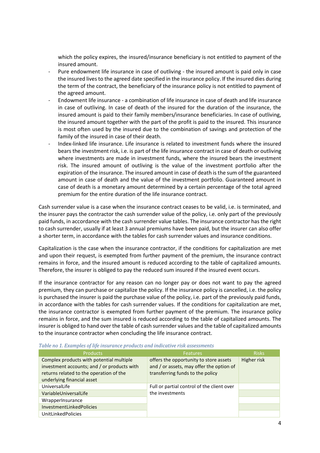which the policy expires, the insured/insurance beneficiary is not entitled to payment of the insured amount.

- Pure endowment life insurance in case of outliving the insured amount is paid only in case the insured lives to the agreed date specified in the insurance policy. If the insured dies during the term of the contract, the beneficiary of the insurance policy is not entitled to payment of the agreed amount.
- Endowment life insurance a combination of life insurance in case of death and life insurance in case of outliving. In case of death of the insured for the duration of the insurance, the insured amount is paid to their family members/insurance beneficiaries. In case of outliving, the insured amount together with the part of the profit is paid to the insured. This insurance is most often used by the insured due to the combination of savings and protection of the family of the insured in case of their death.
- Index-linked life insurance. Life insurance is related to investment funds where the insured bears the investment risk, i.e. is part of the life insurance contract in case of death or outliving where investments are made in investment funds, where the insured bears the investment risk. The insured amount of outliving is the value of the investment portfolio after the expiration of the insurance. The insured amount in case of death is the sum of the guaranteed amount in case of death and the value of the investment portfolio. Guaranteed amount in case of death is a monetary amount determined by a certain percentage of the total agreed premium for the entire duration of the life insurance contract.

Cash surrender value is a case when the insurance contract ceases to be valid, i.e. is terminated, and the insurer pays the contractor the cash surrender value of the policy, i.e. only part of the previously paid funds, in accordance with the cash surrender value tables. The insurance contractor has the right to cash surrender, usually if at least 3 annual premiums have been paid, but the insurer can also offer a shorter term, in accordance with the tables for cash surrender values and insurance conditions.

Capitalization is the case when the insurance contractor, if the conditions for capitalization are met and upon their request, is exempted from further payment of the premium, the insurance contract remains in force, and the insured amount is reduced according to the table of capitalized amounts. Therefore, the insurer is obliged to pay the reduced sum insured if the insured event occurs.

If the insurance contractor for any reason can no longer pay or does not want to pay the agreed premium, they can purchase or capitalize the policy. If the insurance policy is cancelled, i.e. the policy is purchased the insurer is paid the purchase value of the policy, i.e. part of the previously paid funds, in accordance with the tables for cash surrender values. If the conditions for capitalization are met, the insurance contractor is exempted from further payment of the premium. The insurance policy remains in force, and the sum insured is reduced according to the table of capitalized amounts. The insurer is obliged to hand over the table of cash surrender values and the table of capitalized amounts to the insurance contractor when concluding the life insurance contract.

| <b>Products</b>                                                                                                                                                  | <b>Features</b>                                                                                                        | <b>Risks</b> |
|------------------------------------------------------------------------------------------------------------------------------------------------------------------|------------------------------------------------------------------------------------------------------------------------|--------------|
| Complex products with potential multiple<br>investment accounts; and / or products with<br>returns related to the operation of the<br>underlying financial asset | offers the opportunity to store assets<br>and / or assets, may offer the option of<br>transferring funds to the policy | Higher risk  |
| UniversalLife                                                                                                                                                    | Full or partial control of the client over                                                                             |              |
| Variable Universal Life                                                                                                                                          | the investments                                                                                                        |              |
| WrapperInsurance                                                                                                                                                 |                                                                                                                        |              |
| <b>InvestmentLinkedPolicies</b>                                                                                                                                  |                                                                                                                        |              |
| <b>UnitLinkedPolicies</b>                                                                                                                                        |                                                                                                                        |              |

<span id="page-3-0"></span>*Table no 1. Examples of life insurance products and indicative risk assessments*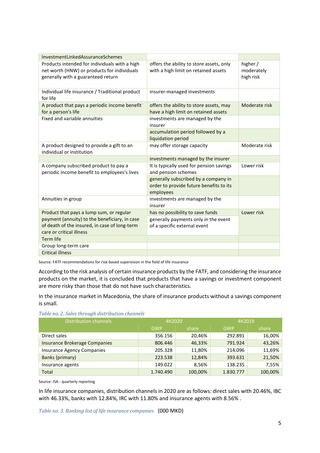| InvestmentLinkedAssuranceSchemes                                                                                                   |                                                                                              |                                     |
|------------------------------------------------------------------------------------------------------------------------------------|----------------------------------------------------------------------------------------------|-------------------------------------|
| Products intended for individuals with a high<br>net worth (HNW) or products for individuals<br>generally with a guaranteed return | offers the ability to store assets, only<br>with a high limit on retained assets             | higher /<br>moderately<br>high risk |
| Individual life insurance / Traditional product<br>for life                                                                        | insurer-managed investments                                                                  |                                     |
| A product that pays a periodic income benefit<br>for a person's life                                                               | offers the ability to store assets, may<br>have a high limit on retained assets              | Moderate risk                       |
| Fixed and variable annuities                                                                                                       | investments are managed by the<br>insurer                                                    |                                     |
|                                                                                                                                    | accumulation period followed by a<br>liquidation period                                      |                                     |
| A product designed to provide a gift to an<br>individual or institution                                                            | may offer storage capacity                                                                   | Moderate risk                       |
|                                                                                                                                    | investments managed by the insurer                                                           |                                     |
| A company subscribed product to pay a<br>periodic income benefit to employees's lives                                              | It is typically used for pension savings<br>and pension schemes                              | Lower risk                          |
|                                                                                                                                    | generally subscribed by a company in<br>order to provide future benefits to its<br>employees |                                     |
| Annuities in group                                                                                                                 | investments are managed by the<br>insurer                                                    |                                     |
| Product that pays a lump sum, or regular                                                                                           | has no possibility to save funds                                                             | Lower risk                          |
| payment (annuity) to the beneficiary, in case<br>of death of the insured, in case of long-term<br>care or critical illness         | generally payments only in the event<br>of a specific external event                         |                                     |
| <b>Term life</b>                                                                                                                   |                                                                                              |                                     |
| Group long-term care                                                                                                               |                                                                                              |                                     |
| <b>Critical illness</b>                                                                                                            |                                                                                              |                                     |

Source: FATF recommendations for risk-based supervision in the field of life insurance

According to the risk analysis of certain insurance products by the FATF, and considering the insurance products on the market, it is concluded that products that have a savings or investment component are more risky than those that do not have such characteristics.

In the insurance market in Macedonia, the share of insurance products without a savings component is small.

| <b>Distribution channels</b>      | 4K2020     |         | 4K2019     |         |
|-----------------------------------|------------|---------|------------|---------|
|                                   | <b>GWP</b> | share   | <b>GWP</b> | share   |
| Direct sales                      | 356.156    | 20,46%  | 292.891    | 16,00%  |
| Insurance Brokerage Companies     | 806.446    | 46,33%  | 791.924    | 43,26%  |
| <b>Insurance Agency Companies</b> | 205.328    | 11,80%  | 214.096    | 11,69%  |
| Banks (primary)                   | 223.538    | 12,84%  | 393.631    | 21,50%  |
| Insurance agents                  | 149.022    | 8,56%   | 138.235    | 7,55%   |
| Total                             | 1.740.490  | 100,00% | 1.830.777  | 100,00% |

<span id="page-4-0"></span>*Table no. 2. Sales through distribution channels*

Source: ISA - quarterly reporting

In life insurance companies, distribution channels in 2020 are as follows: direct sales with 20.46%, IBC with 46.33%, banks with 12.84%, IRC with 11.80% and insurance agents with 8.56% .

<span id="page-4-1"></span>*Table no. 3. Ranking list of life insurance companies* (000 MKD)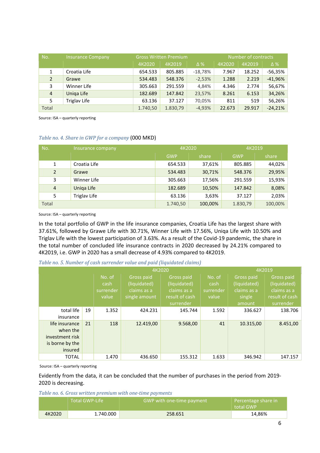| No.            | <b>Insurance Company</b> | <b>Gross Written Premium</b> |          |            | Number of contracts |        |            |  |
|----------------|--------------------------|------------------------------|----------|------------|---------------------|--------|------------|--|
|                |                          | 4K2020                       | 4K2019   | $\Delta\%$ | 4K2020              | 4K2019 | $\Delta\%$ |  |
| $\mathbf{1}$   | Croatia Life             | 654.533                      | 805.885  | $-18,78%$  | 7.967               | 18.252 | -56,35%    |  |
| $\overline{2}$ | Grawe                    | 534.483                      | 548.376  | $-2,53%$   | 1.288               | 2.219  | $-41,96%$  |  |
| 3              | Winner Life              | 305.663                      | 291.559  | 4,84%      | 4.346               | 2.774  | 56,67%     |  |
| $\overline{4}$ | Uniga Life               | 182.689                      | 147.842  | 23,57%     | 8.261               | 6.153  | 34,26%     |  |
| 5              | Triglav Life             | 63.136                       | 37.127   | 70,05%     | 811                 | 519    | 56,26%     |  |
| Total          |                          | 1.740,50                     | 1.830,79 | $-4,93%$   | 22.673              | 29.917 | $-24,21%$  |  |

#### <span id="page-5-0"></span>*Table no. 4. Share in GWP for a company* (000 MKD)

| No.            | Insurance company | 4K2020     |         | 4K2019     |         |
|----------------|-------------------|------------|---------|------------|---------|
|                |                   | <b>GWP</b> | share   | <b>GWP</b> | share   |
| 1              | Croatia Life      | 654.533    | 37,61%  | 805.885    | 44,02%  |
| 2              | Grawe             | 534.483    | 30,71%  | 548.376    | 29,95%  |
| 3              | Winner Life       | 305.663    | 17,56%  | 291.559    | 15,93%  |
| $\overline{4}$ | Uniga Life        | 182.689    | 10,50%  | 147.842    | 8,08%   |
| 5              | Triglav Life      | 63.136     | 3,63%   | 37.127     | 2,03%   |
| Total          |                   | 1.740,50   | 100,00% | 1.830,79   | 100,00% |

Source: ISA – quarterly reporting

In the total portfolio of GWP in the life insurance companies, Croatia Life has the largest share with 37.61%, followed by Grawe Life with 30.71%, Winner Life with 17.56%, Uniqa Life with 10.50% and Triglav Life with the lowest participation of 3.63%. As a result of the Covid-19 pandemic, the share in the total number of concluded life insurance contracts in 2020 decreased by 24.21% compared to 4K2019, i.e. GWP in 2020 has a small decrease of 4.93% compared to 4K2019.

<span id="page-5-1"></span>

| Table no. 5. Number of cash surrender value and paid (liquidated claims) |  |  |  |  |
|--------------------------------------------------------------------------|--|--|--|--|
|--------------------------------------------------------------------------|--|--|--|--|

| 4K2020          |    |           |               |                | 4K2019    |              |                |
|-----------------|----|-----------|---------------|----------------|-----------|--------------|----------------|
|                 |    | No. of    | Gross paid    | Gross paid     | No. of    | Gross paid   | Gross paid     |
|                 |    | cash      | (liquidated)  | (liquidated)   | cash      | (liquidated) | (liquidated)   |
|                 |    | surrender | claims as a   | claims as a    | surrender | claims as a  | claims as a    |
|                 |    | value     | single amount | result of cash | value     | single       | result of cash |
|                 |    |           |               | surrender      |           | amount       | surrender      |
| total life      | 19 | 1.352     | 424.231       | 145.744        | 1.592     | 336.627      | 138.706        |
| insurance       |    |           |               |                |           |              |                |
| life insurance  | 21 | 118       | 12.419,00     | 9.568,00       | 41        | 10.315,00    | 8.451,00       |
| when the        |    |           |               |                |           |              |                |
| investment risk |    |           |               |                |           |              |                |
| is borne by the |    |           |               |                |           |              |                |
| insured         |    |           |               |                |           |              |                |
| <b>TOTAL</b>    |    | 1.470     | 436.650       | 155.312        | 1.633     | 346.942      | 147.157        |

Source: ISA – quarterly reporting

Evidently from the data, it can be concluded that the number of purchases in the period from 2019- 2020 is decreasing.

<span id="page-5-2"></span>*Table no. 6. Gross written premium with one-time payments*

|        | Total GWP-Life | <b>GWP with one-time payment</b> | Percentage share in<br>total GWP |
|--------|----------------|----------------------------------|----------------------------------|
| 4K2020 | 1.740.000      | 258.651                          | 14,86%                           |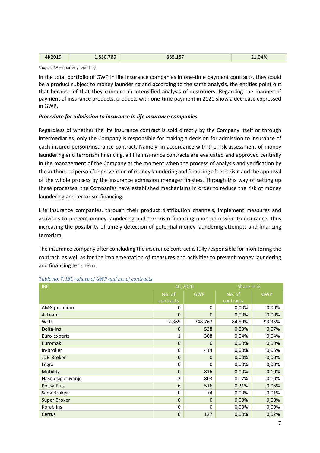| 010<br>$\Delta K$ | 700<br>`O⊃ | ---- | .04%<br>. . |
|-------------------|------------|------|-------------|
|                   |            |      |             |

In the total portfolio of GWP in life insurance companies in one-time payment contracts, they could be a product subject to money laundering and according to the same analysis, the entities point out that because of that they conduct an intensified analysis of customers. Regarding the manner of payment of insurance products, products with one-time payment in 2020 show a decrease expressed in GWP.

#### *Procedure for admission to insurance in life insurance companies*

Regardless of whether the life insurance contract is sold directly by the Company itself or through intermediaries, only the Company is responsible for making a decision for admission to insurance of each insured person/insurance contract. Namely, in accordance with the risk assessment of money laundering and terrorism financing, all life insurance contracts are evaluated and approved centrally in the management of the Company at the moment when the process of analysis and verification by the authorized person for prevention of money laundering and financing of terrorism and the approval of the whole process by the insurance admission manager finishes. Through this way of setting up these processes, the Companies have established mechanisms in order to reduce the risk of money laundering and terrorism financing.

Life insurance companies, through their product distribution channels, implement measures and activities to prevent money laundering and terrorism financing upon admission to insurance, thus increasing the possibility of timely detection of potential money laundering attempts and financing terrorism.

The insurance company after concluding the insurance contract is fully responsible for monitoring the contract, as well as for the implementation of measures and activities to prevent money laundering and financing terrorism.

| <b>IBC</b>        | 4Q 2020        |             | Share in % |            |
|-------------------|----------------|-------------|------------|------------|
|                   | No. of         | <b>GWP</b>  | No. of     | <b>GWP</b> |
|                   | contracts      |             | contracts  |            |
| AMG premium       | 0              | 0           | 0,00%      | 0,00%      |
| A-Team            | $\mathbf{0}$   | 0           | 0,00%      | 0,00%      |
| <b>WFP</b>        | 2.365          | 748.767     | 84,59%     | 93,35%     |
| Delta-ins         | $\mathbf{0}$   | 528         | 0,00%      | 0,07%      |
| Euro-experts      | 1              | 308         | 0,04%      | 0,04%      |
| Euromak           | $\mathbf{0}$   | $\mathbf 0$ | 0,00%      | 0,00%      |
| In-Broker         | $\mathbf{0}$   | 414         | 0,00%      | 0,05%      |
| JDB-Broker        | $\mathbf{0}$   | $\mathbf 0$ | 0,00%      | 0,00%      |
| Legra             | $\Omega$       | 0           | 0,00%      | 0,00%      |
| Mobility          | $\mathbf{0}$   | 816         | 0,00%      | 0,10%      |
| Nase osiguruvanje | $\overline{2}$ | 803         | 0,07%      | 0,10%      |
| Polisa Plus       | 6              | 516         | 0,21%      | 0,06%      |
| Seda Broker       | $\Omega$       | 74          | 0,00%      | 0,01%      |
| Super Broker      | $\mathbf{0}$   | $\mathbf 0$ | 0,00%      | 0,00%      |
| Korab Ins         | $\Omega$       | 0           | 0,00%      | 0,00%      |
| Certus            | $\mathbf{0}$   | 127         | 0,00%      | 0,02%      |

#### <span id="page-6-0"></span>*Table no. 7. IBC –share of GWP and no. of contracts*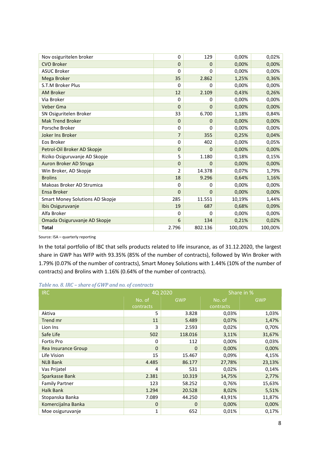| Nov osiguritelen broker         | 0              | 129     | 0,00%   | 0,02%   |
|---------------------------------|----------------|---------|---------|---------|
| <b>CVO Broker</b>               | $\Omega$       | 0       | 0,00%   | 0,00%   |
| <b>ASUC Broker</b>              | 0              | 0       | 0,00%   | 0,00%   |
| Mega Broker                     | 35             | 2.862   | 1,25%   | 0,36%   |
| S.T.M Broker Plus               | 0              | 0       | 0,00%   | 0,00%   |
| <b>AM Broker</b>                | 12             | 2.109   | 0,43%   | 0,26%   |
| Via Broker                      | 0              | 0       | 0,00%   | 0,00%   |
| Veber Gma                       | $\Omega$       | 0       | 0,00%   | 0,00%   |
| SN Osiguritelen Broker          | 33             | 6.700   | 1,18%   | 0,84%   |
| <b>Mak Trend Broker</b>         | $\mathbf 0$    | 0       | 0,00%   | 0,00%   |
| Porsche Broker                  | 0              | 0       | 0,00%   | 0,00%   |
| Joker Ins Broker                | 7              | 355     | 0,25%   | 0,04%   |
| Eos Broker                      | 0              | 402     | 0,00%   | 0,05%   |
| Petrol-Oil Broker AD Skopje     | $\mathbf 0$    | 0       | 0,00%   | 0,00%   |
| Riziko Osiguruvanje AD Skopje   | 5              | 1.180   | 0,18%   | 0,15%   |
| Auron Broker AD Struga          | $\mathbf 0$    | 0       | 0,00%   | 0,00%   |
| Win Broker, AD Skopje           | $\mathfrak{p}$ | 14.378  | 0,07%   | 1,79%   |
| <b>Brolins</b>                  | 18             | 9.296   | 0,64%   | 1,16%   |
| Makoas Broker AD Strumica       | 0              | 0       | 0,00%   | 0,00%   |
| Ensa Broker                     | $\mathbf 0$    | 0       | 0,00%   | 0,00%   |
| Smart Money Solutions AD Skopje | 285            | 11.551  | 10,19%  | 1,44%   |
| Ibis Osiguruvanje               | 19             | 687     | 0,68%   | 0,09%   |
| Alfa Broker                     | 0              | 0       | 0,00%   | 0,00%   |
| Omada Osiguruvanje AD Skopje    | 6              | 134     | 0,21%   | 0,02%   |
| <b>Total</b>                    | 2.796          | 802.136 | 100,00% | 100,00% |

In the total portfolio of IBC that sells products related to life insurance, as of 31.12.2020, the largest share in GWP has WFP with 93.35% (85% of the number of contracts), followed by Win Broker with 1.79% (0.07% of the number of contracts), Smart Money Solutions with 1.44% (10% of the number of contracts) and Brolins with 1.16% (0.64% of the number of contracts).

<span id="page-7-0"></span>

| <b>IRC</b>            |              | 4Q 2020     | Share in % |            |  |
|-----------------------|--------------|-------------|------------|------------|--|
|                       | No. of       | <b>GWP</b>  | No. of     | <b>GWP</b> |  |
|                       | contracts    |             | contracts  |            |  |
| Aktiva                | 5            | 3.828       | 0,03%      | 1,03%      |  |
| Trend mr              | 11           | 5.489       | 0,07%      | 1,47%      |  |
| Lion Ins              | 3            | 2.593       | 0,02%      | 0,70%      |  |
| Safe Life             | 502          | 118.016     | 3,11%      | 31,67%     |  |
| Fortis Pro            | 0            | 112         | 0,00%      | 0,03%      |  |
| Rea Insurance Group   | $\mathbf{0}$ | $\mathbf 0$ | 0,00%      | 0,00%      |  |
| Life Vision           | 15           | 15.467      | 0,09%      | 4,15%      |  |
| <b>NLB Bank</b>       | 4.485        | 86.177      | 27,78%     | 23,13%     |  |
| Vas Prijatel          | 4            | 531         | 0,02%      | 0,14%      |  |
| Sparkasse Bank        | 2.381        | 10.319      | 14,75%     | 2,77%      |  |
| <b>Family Partner</b> | 123          | 58.252      | 0,76%      | 15,63%     |  |
| <b>Halk Bank</b>      | 1.294        | 20.528      | 8,02%      | 5,51%      |  |
| Stopanska Banka       | 7.089        | 44.250      | 43,91%     | 11,87%     |  |
| Komercijalna Banka    | 0            | 0           | 0,00%      | 0,00%      |  |
| Moe osiguruvanje      | $\mathbf{1}$ | 652         | 0,01%      | 0,17%      |  |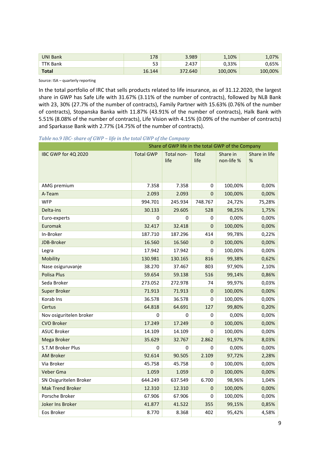| <b>UNI Bank</b> | 178      | 3.989   | 1,10%   | $1,07\%$ |
|-----------------|----------|---------|---------|----------|
| ΓK Bank         | ロつ<br>ວວ | 2.437   | 0,33%   | 0.65%    |
| <b>Total</b>    | 16.144   | 372.640 | 100,00% | 100,00%  |

In the total portfolio of IRC that sells products related to life insurance, as of 31.12.2020, the largest share in GWP has Safe Life with 31.67% (3.11% of the number of contracts), followed by NLB Bank with 23, 30% (27.7% of the number of contracts), Family Partner with 15.63% (0.76% of the number of contracts), Stopanska Banka with 11.87% (43.91% of the number of contracts), Halk Bank with 5.51% (8.08% of the number of contracts), Life Vision with 4.15% (0.09% of the number of contracts) and Sparkasse Bank with 2.77% (14.75% of the number of contracts).

#### <span id="page-8-0"></span>*Table no.9 IBC- share of GWP – life in the total GWP of the Company*

| Share of GWP life in the total GWP of the Company |                  |                    |               |                        |                    |
|---------------------------------------------------|------------------|--------------------|---------------|------------------------|--------------------|
| IBC GWP for 4Q 2020                               | <b>Total GWP</b> | Total non-<br>life | Total<br>life | Share in<br>non-life % | Share in life<br>% |
| AMG premium                                       | 7.358            | 7.358              | 0             | 100,00%                | 0,00%              |
| A-Team                                            | 2.093            | 2.093              | 0             | 100,00%                | 0,00%              |
| <b>WFP</b>                                        | 994.701          | 245.934            | 748.767       | 24,72%                 | 75,28%             |
| Delta-ins                                         | 30.133           | 29.605             | 528           | 98,25%                 | 1,75%              |
| Euro-experts                                      | 0                | 0                  | 0             | 0,00%                  | 0,00%              |
| Euromak                                           | 32.417           | 32.418             | 0             | 100,00%                | 0,00%              |
| In-Broker                                         | 187.710          | 187.296            | 414           | 99,78%                 | 0,22%              |
| JDB-Broker                                        | 16.560           | 16.560             | 0             | 100,00%                | 0,00%              |
| Legra                                             | 17.942           | 17.942             | 0             | 100,00%                | 0,00%              |
| Mobility                                          | 130.981          | 130.165            | 816           | 99,38%                 | 0,62%              |
| Nase osiguruvanje                                 | 38.270           | 37.467             | 803           | 97,90%                 | 2,10%              |
| <b>Polisa Plus</b>                                | 59.654           | 59.138             | 516           | 99,14%                 | 0,86%              |
| Seda Broker                                       | 273.052          | 272.978            | 74            | 99,97%                 | 0,03%              |
| Super Broker                                      | 71.913           | 71.913             | 0             | 100,00%                | 0,00%              |
| Korab Ins                                         | 36.578           | 36.578             | 0             | 100,00%                | 0,00%              |
| Certus                                            | 64.818           | 64.691             | 127           | 99,80%                 | 0,20%              |
| Nov osiguritelen broker                           | 0                | 0                  | 0             | 0,00%                  | 0,00%              |
| <b>CVO Broker</b>                                 | 17.249           | 17.249             | 0             | 100,00%                | 0,00%              |
| <b>ASUC Broker</b>                                | 14.109           | 14.109             | 0             | 100,00%                | 0,00%              |
| Mega Broker                                       | 35.629           | 32.767             | 2.862         | 91,97%                 | 8,03%              |
| S.T.M Broker Plus                                 | 0                | 0                  | 0             | 0,00%                  | 0,00%              |
| <b>AM Broker</b>                                  | 92.614           | 90.505             | 2.109         | 97,72%                 | 2,28%              |
| Via Broker                                        | 45.758           | 45.758             | 0             | 100,00%                | 0,00%              |
| Veber Gma                                         | 1.059            | 1.059              | 0             | 100,00%                | 0,00%              |
| SN Osiguritelen Broker                            | 644.249          | 637.549            | 6.700         | 98,96%                 | 1,04%              |
| <b>Mak Trend Broker</b>                           | 12.310           | 12.310             | 0             | 100,00%                | 0,00%              |
| Porsche Broker                                    | 67.906           | 67.906             | 0             | 100,00%                | 0,00%              |
| Joker Ins Broker                                  | 41.877           | 41.522             | 355           | 99,15%                 | 0,85%              |
| Eos Broker                                        | 8.770            | 8.368              | 402           | 95,42%                 | 4,58%              |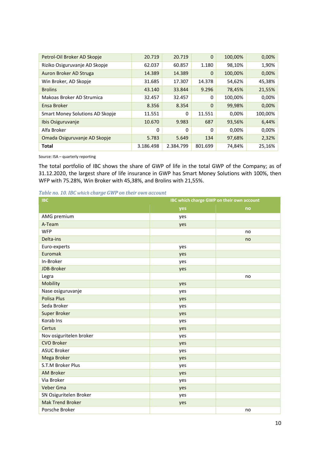| 20.719    | 20.719    | 0       | 100,00%  | 0,00%   |
|-----------|-----------|---------|----------|---------|
| 62.037    | 60.857    | 1.180   | 98,10%   | 1,90%   |
| 14.389    | 14.389    | 0       | 100,00%  | 0,00%   |
| 31.685    | 17.307    | 14.378  | 54,62%   | 45,38%  |
| 43.140    | 33.844    | 9.296   | 78,45%   | 21,55%  |
| 32.457    | 32.457    | 0       | 100,00%  | 0,00%   |
| 8.356     | 8.354     | 0       | 99,98%   | 0,00%   |
| 11.551    | 0         | 11.551  | 0,00%    | 100,00% |
| 10.670    | 9.983     | 687     | 93,56%   | 6,44%   |
| 0         | 0         | 0       | $0,00\%$ | 0,00%   |
| 5.783     | 5.649     | 134     | 97,68%   | 2,32%   |
| 3.186.498 | 2.384.799 | 801.699 | 74,84%   | 25,16%  |
|           |           |         |          |         |

The total portfolio of IBC shows the share of GWP of life in the total GWP of the Company; as of 31.12.2020, the largest share of life insurance in GWP has Smart Money Solutions with 100%, then WFP with 75.28%, Win Broker with 45,38%, and Brolins with 21,55%.

<span id="page-9-0"></span>

| Table no. 10. IBC which charge GWP on their own account |  |  |  |  |  |  |
|---------------------------------------------------------|--|--|--|--|--|--|
|---------------------------------------------------------|--|--|--|--|--|--|

| <b>IBC</b>              | IBC which charge GWP on their own account |    |  |  |
|-------------------------|-------------------------------------------|----|--|--|
|                         | yes                                       | no |  |  |
| AMG premium             | yes                                       |    |  |  |
| A-Team                  | yes                                       |    |  |  |
| <b>WFP</b>              |                                           | no |  |  |
| Delta-ins               |                                           | no |  |  |
| Euro-experts            | yes                                       |    |  |  |
| Euromak                 | yes                                       |    |  |  |
| In-Broker               | yes                                       |    |  |  |
| JDB-Broker              | yes                                       |    |  |  |
| Legra                   |                                           | no |  |  |
| Mobility                | yes                                       |    |  |  |
| Nase osiguruvanje       | yes                                       |    |  |  |
| <b>Polisa Plus</b>      | yes                                       |    |  |  |
| Seda Broker             | yes                                       |    |  |  |
| <b>Super Broker</b>     | yes                                       |    |  |  |
| Korab Ins               | yes                                       |    |  |  |
| Certus                  | yes                                       |    |  |  |
| Nov osiguritelen broker | yes                                       |    |  |  |
| <b>CVO Broker</b>       | yes                                       |    |  |  |
| <b>ASUC Broker</b>      | yes                                       |    |  |  |
| Mega Broker             | yes                                       |    |  |  |
| S.T.M Broker Plus       | yes                                       |    |  |  |
| <b>AM Broker</b>        | yes                                       |    |  |  |
| Via Broker              | yes                                       |    |  |  |
| Veber Gma               | yes                                       |    |  |  |
| SN Osiguritelen Broker  | yes                                       |    |  |  |
| <b>Mak Trend Broker</b> | yes                                       |    |  |  |
| Porsche Broker          |                                           | no |  |  |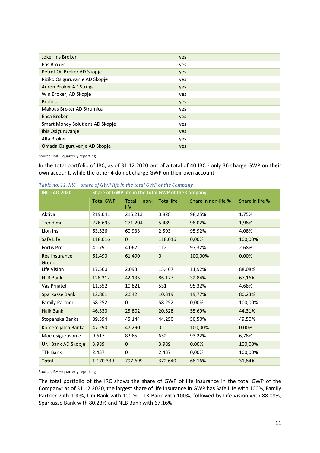| Joker Ins Broker                | yes |  |
|---------------------------------|-----|--|
| Eos Broker                      | yes |  |
| Petrol-Oil Broker AD Skopje     | yes |  |
| Riziko Osiguruvanje AD Skopje   | yes |  |
| Auron Broker AD Struga          | yes |  |
| Win Broker, AD Skopje           | yes |  |
| <b>Brolins</b>                  | yes |  |
| Makoas Broker AD Strumica       | yes |  |
| Ensa Broker                     | yes |  |
| Smart Money Solutions AD Skopje | yes |  |
| Ibis Osiguruvanje               | yes |  |
| Alfa Broker                     | yes |  |
| Omada Osiguruvanje AD Skopje    | yes |  |
|                                 |     |  |

In the total portfolio of IBC, as of 31.12.2020 out of a total of 40 IBC - only 36 charge GWP on their own account, while the other 4 do not charge GWP on their own account.

| <b>IBC - 4Q 2020</b>      | Share of GWP life in the total GWP of the Company |                              |                   |                     |                 |  |  |
|---------------------------|---------------------------------------------------|------------------------------|-------------------|---------------------|-----------------|--|--|
|                           | <b>Total GWP</b>                                  | <b>Total</b><br>non-<br>life | <b>Total life</b> | Share in non-life % | Share in life % |  |  |
| Aktiva                    | 219.041                                           | 215.213                      | 3.828             | 98,25%              | 1,75%           |  |  |
| Trend mr                  | 276.693                                           | 271.204                      | 5.489             | 98,02%              | 1,98%           |  |  |
| Lion Ins                  | 63.526                                            | 60.933                       | 2.593             | 95,92%              | 4,08%           |  |  |
| Safe Life                 | 118.016                                           | $\mathbf{0}$                 | 118.016           | 0,00%               | 100,00%         |  |  |
| Fortis Pro                | 4.179                                             | 4.067                        | 112               | 97,32%              | 2,68%           |  |  |
| Rea Insurance<br>Group    | 61.490                                            | 61.490                       | $\mathbf 0$       | 100,00%             | 0,00%           |  |  |
| Life Vision               | 17.560                                            | 2.093                        | 15.467            | 11,92%              | 88,08%          |  |  |
| <b>NLB Bank</b>           | 128.312                                           | 42.135                       | 86.177            | 32,84%              | 67,16%          |  |  |
| Vas Prijatel              | 11.352                                            | 10.821                       | 531               | 95,32%              | 4,68%           |  |  |
| Sparkasse Bank            | 12.861                                            | 2.542                        | 10.319            | 19,77%              | 80,23%          |  |  |
| <b>Family Partner</b>     | 58.252                                            | 0                            | 58.252            | 0,00%               | 100,00%         |  |  |
| <b>Halk Bank</b>          | 46.330                                            | 25.802                       | 20.528            | 55,69%              | 44,31%          |  |  |
| Stopanska Banka           | 89.394                                            | 45.144                       | 44.250            | 50,50%              | 49,50%          |  |  |
| Komercijalna Banka        | 47.290                                            | 47.290                       | $\mathbf{0}$      | 100,00%             | 0,00%           |  |  |
| Moe osiguruvanje          | 9.617                                             | 8.965                        | 652               | 93,22%              | 6,78%           |  |  |
| <b>UNI Bank AD Skopje</b> | 3.989                                             | $\mathbf 0$                  | 3.989             | 0,00%               | 100,00%         |  |  |
| <b>TTK Bank</b>           | 2.437                                             | 0                            | 2.437             | 0,00%               | 100,00%         |  |  |
| <b>Total</b>              | 1.170.339                                         | 797.699                      | 372.640           | 68,16%              | 31,84%          |  |  |

<span id="page-10-0"></span>*Table no. 11. IRC – share of GWP life in the total GWP of the Company*

Source: ISA – quarterly reporting

The total portfolio of the IRC shows the share of GWP of life insurance in the total GWP of the Company; as of 31.12.2020, the largest share of life insurance in GWP has Safe Life with 100%, Family Partner with 100%, Uni Bank with 100 %, TTK Bank with 100%, followed by Life Vision with 88.08%, Sparkasse Bank with 80.23% and NLB Bank with 67.16%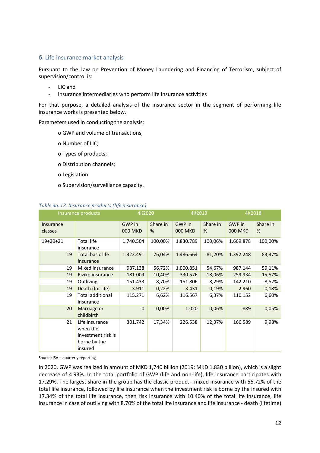#### <span id="page-11-0"></span>б. Life insurance market analysis

Pursuant to the Law on Prevention of Money Laundering and Financing of Terrorism, subject of supervision/control is:

- LIC and
- insurance intermediaries who perform life insurance activities

For that purpose, a detailed analysis of the insurance sector in the segment of performing life insurance works is presented below.

#### Parameters used in conducting the analysis:

- o GWP and volume of transactions;
- o Number of LIC;
- o Types of products;
- o Distribution channels;
- o Legislation
- o Supervision/surveillance capacity.

#### <span id="page-11-1"></span>*Table no. 12. Insurance products (life insurance)*

|                      | Insurance products                                                          | 4K2020                   |               | 4K2019                   |               | 4K2018                   |               |
|----------------------|-----------------------------------------------------------------------------|--------------------------|---------------|--------------------------|---------------|--------------------------|---------------|
| Insurance<br>classes |                                                                             | GWP in<br><b>000 MKD</b> | Share in<br>% | GWP in<br><b>000 MKD</b> | Share in<br>% | GWP in<br><b>000 MKD</b> | Share in<br>% |
| $19+20+21$           | <b>Total life</b><br>insurance                                              | 1.740.504                | 100,00%       | 1.830.789                | 100,06%       | 1.669.878                | 100,00%       |
| 19                   | Total basic life<br>insurance                                               | 1.323.491                | 76,04%        | 1.486.664                | 81,20%        | 1.392.248                | 83,37%        |
| 19                   | Mixed insurance                                                             | 987.138                  | 56,72%        | 1.000.851                | 54,67%        | 987.144                  | 59,11%        |
| 19                   | Riziko insurance                                                            | 181.009                  | 10,40%        | 330.576                  | 18,06%        | 259.934                  | 15,57%        |
| 19                   | Outliving                                                                   | 151.433                  | 8,70%         | 151.806                  | 8,29%         | 142.210                  | 8,52%         |
| 19                   | Death (for life)                                                            | 3.911                    | 0,22%         | 3.431                    | 0,19%         | 2.960                    | 0,18%         |
| 19                   | <b>Total additional</b><br>insurance                                        | 115.271                  | 6,62%         | 116.567                  | 6,37%         | 110.152                  | 6,60%         |
| 20                   | Marriage or<br>childbirth                                                   | $\mathbf{0}$             | 0,00%         | 1.020                    | 0,06%         | 889                      | 0,05%         |
| 21                   | Life insurance<br>when the<br>investment risk is<br>borne by the<br>insured | 301.742                  | 17,34%        | 226.538                  | 12,37%        | 166.589                  | 9,98%         |

Source: ISA – quarterly reporting

In 2020, GWP was realized in amount of MKD 1,740 billion (2019: MKD 1,830 billion), which is a slight decrease of 4.93%. In the total portfolio of GWP (life and non-life), life insurance participates with 17.29%. The largest share in the group has the classic product - mixed insurance with 56.72% of the total life insurance, followed by life insurance when the investment risk is borne by the insured with 17.34% of the total life insurance, then risk insurance with 10.40% of the total life insurance, life insurance in case of outliving with 8.70% of the total life insurance and life insurance - death (lifetime)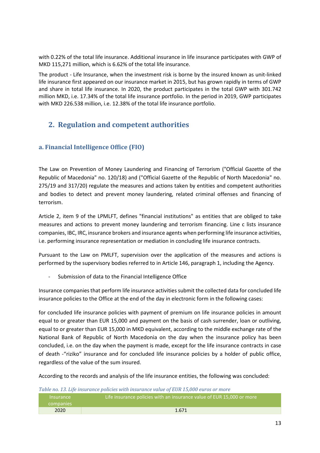with 0.22% of the total life insurance. Additional insurance in life insurance participates with GWP of MKD 115,271 million, which is 6.62% of the total life insurance.

The product - Life Insurance, when the investment risk is borne by the insured known as unit-linked life insurance first appeared on our insurance market in 2015, but has grown rapidly in terms of GWP and share in total life insurance. In 2020, the product participates in the total GWP with 301.742 million MKD, i.e. 17.34% of the total life insurance portfolio. In the period in 2019, GWP participates with MKD 226.538 million, i.e. 12.38% of the total life insurance portfolio.

## **2. Regulation and competent authorities**

## <span id="page-12-0"></span>**a. Financial Intelligence Office (FIO)**

The Law on Prevention of Money Laundering and Financing of Terrorism ("Official Gazette of the Republic of Macedonia" no. 120/18) and ("Official Gazette of the Republic of North Macedonia" no. 275/19 and 317/20) regulate the measures and actions taken by entities and competent authorities and bodies to detect and prevent money laundering, related criminal offenses and financing of terrorism.

Article 2, item 9 of the LPMLFT, defines "financial institutions" as entities that are obliged to take measures and actions to prevent money laundering and terrorism financing. Line c lists insurance companies, IBC, IRC, insurance brokers and insurance agents when performing life insurance activities, i.e. performing insurance representation or mediation in concluding life insurance contracts.

Pursuant to the Law on PMLFT, supervision over the application of the measures and actions is performed by the supervisory bodies referred to in Article 146, paragraph 1, including the Agency.

Submission of data to the Financial Intelligence Office

Insurance companies that perform life insurance activities submit the collected data for concluded life insurance policies to the Office at the end of the day in electronic form in the following cases:

for concluded life insurance policies with payment of premium on life insurance policies in amount equal to or greater than EUR 15,000 and payment on the basis of cash surrender, loan or outliving, equal to or greater than EUR 15,000 in MKD equivalent, according to the middle exchange rate of the National Bank of Republic of North Macedonia on the day when the insurance policy has been concluded, i.e. on the day when the payment is made, except for the life insurance contracts in case of death -"riziko" insurance and for concluded life insurance policies by a holder of public office, regardless of the value of the sum insured.

According to the records and analysis of the life insurance entities, the following was concluded:

<span id="page-12-1"></span>*Table no. 13. Life insurance policies with insurance value of EUR 15,000 euros or more* 

| Thsurance '<br>companies | <u>i Life insurance policies with an insurance value of EUR 15,000 or more l</u> |
|--------------------------|----------------------------------------------------------------------------------|
| 2020                     | 1.671                                                                            |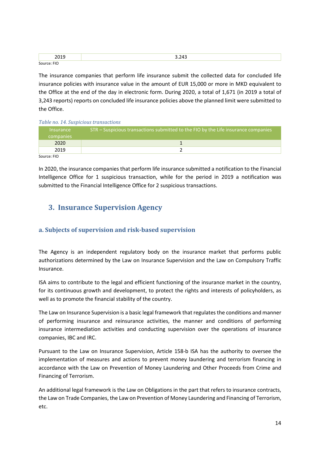| ----<br>. .        | $\sim$ $\sim$ $\sim$<br>. .<br>$\overline{\phantom{a}}$ |
|--------------------|---------------------------------------------------------|
| Source<br>'''<br>. |                                                         |

The insurance companies that perform life insurance submit the collected data for concluded life insurance policies with insurance value in the amount of EUR 15,000 or more in MKD equivalent to the Office at the end of the day in electronic form. During 2020, a total of 1,671 (in 2019 a total of 3,243 reports) reports on concluded life insurance policies above the planned limit were submitted to the Office.

#### <span id="page-13-1"></span>*Table no. 14. Suspicious transactions*

| <b>Insurance</b><br><b>companies</b> | STR – Suspicious transactions submitted to the FIO by the Life insurance companies, |
|--------------------------------------|-------------------------------------------------------------------------------------|
| 2020                                 |                                                                                     |
| 2019                                 |                                                                                     |
| Conrrco: E1O                         |                                                                                     |

Source: FIO

In 2020, the insurance companies that perform life insurance submitted a notification to the Financial Intelligence Office for 1 suspicious transaction, while for the period in 2019 a notification was submitted to the Financial Intelligence Office for 2 suspicious transactions.

## **3. Insurance Supervision Agency**

### <span id="page-13-0"></span>**а. Subjects of supervision and risk-based supervision**

The Agency is an independent regulatory body on the insurance market that performs public authorizations determined by the Law on Insurance Supervision and the Law on Compulsory Traffic Insurance.

ISA aims to contribute to the legal and efficient functioning of the insurance market in the country, for its continuous growth and development, to protect the rights and interests of policyholders, as well as to promote the financial stability of the country.

The Law on Insurance Supervision is a basic legal framework that regulates the conditions and manner of performing insurance and reinsurance activities, the manner and conditions of performing insurance intermediation activities and conducting supervision over the operations of insurance companies, IBC and IRC.

Pursuant to the Law on Insurance Supervision, Article 158-b ISA has the authority to oversee the implementation of measures and actions to prevent money laundering and terrorism financing in accordance with the Law on Prevention of Money Laundering and Other Proceeds from Crime and Financing of Terrorism.

An additional legal framework is the Law on Obligations in the part that refers to insurance contracts, the Law on Trade Companies, the Law on Prevention of Money Laundering and Financing of Terrorism, etc.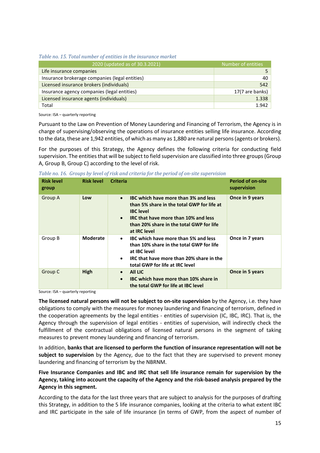<span id="page-14-0"></span>*Table no. 15. Total number of entities in the insurance market*

| 2020 (updated as of 30.3.2021)                 | Number of entities |
|------------------------------------------------|--------------------|
| Life insurance companies                       |                    |
| Insurance brokerage companies (legal entities) | 40                 |
| Licensed insurance brokers (individuals)       | 542                |
| Insurance agency companies (legal entities)    | 17(7 are banks)    |
| Licensed insurance agents (individuals)        | 1.338              |
| Total                                          | 1.942              |

Source: ISA – quarterly reporting

Pursuant to the Law on Prevention of Money Laundering and Financing of Terrorism, the Agency is in charge of supervising/observing the operations of insurance entities selling life insurance. According to the data, these are 1,942 entities, of which as many as 1,880 are natural persons(agents or brokers).

For the purposes of this Strategy, the Agency defines the following criteria for conducting field supervision. The entities that will be subject to field supervision are classified into three groups (Group A, Group B, Group C) according to the level of risk.

<span id="page-14-1"></span>

| Table no. 16. Groups by level of risk and criteria for the period of on-site supervision |  |  |  |
|------------------------------------------------------------------------------------------|--|--|--|
|                                                                                          |  |  |  |

| <b>Risk level</b><br>group | <b>Risk level</b> | <b>Criteria</b>                                                                                                                                                                                                                      | <b>Period of on-site</b><br>supervision |
|----------------------------|-------------------|--------------------------------------------------------------------------------------------------------------------------------------------------------------------------------------------------------------------------------------|-----------------------------------------|
| Group A                    | Low               | IBC which have more than 3% and less<br>$\bullet$<br>than 5% share in the total GWP for life at<br><b>IBC</b> level<br>IRC that have more than 10% and less<br>$\bullet$<br>than 20% share in the total GWP for life<br>at IRC level | Once in 9 years                         |
| Group B                    | <b>Moderate</b>   | IBC which have more than 5% and less<br>$\bullet$<br>than 10% share in the total GWP for life<br>at IBC level<br>IRC that have more than 20% share in the<br>$\bullet$<br>total GWP for life at IRC level                            | Once in 7 years                         |
| Group C                    | High              | All LIC<br>$\bullet$<br>IBC which have more than 10% share in<br>$\bullet$<br>the total GWP for life at IBC level                                                                                                                    | Once in 5 years                         |

Source: ISA – quarterly reporting

**The licensed natural persons will not be subject to on-site supervision** by the Agency, i.e. they have obligations to comply with the measures for money laundering and financing of terrorism, defined in the cooperation agreements by the legal entities - entities of supervision (IC, IBC, IRC). That is, the Agency through the supervision of legal entities - entities of supervision, will indirectly check the fulfillment of the contractual obligations of licensed natural persons in the segment of taking measures to prevent money laundering and financing of terrorism.

In addition, **banks that are licensed to perform the function of insurance representation will not be subject to supervision** by the Agency, due to the fact that they are supervised to prevent money laundering and financing of terrorism by the NBRNM.

**Five Insurance Companies and IBC and IRC that sell life insurance remain for supervision by the Agency, taking into account the capacity of the Agency and the risk-based analysis prepared by the Agency in this segment.**

According to the data for the last three years that are subject to analysis for the purposes of drafting this Strategy, in addition to the 5 life insurance companies, looking at the criteria to what extent IBC and IRC participate in the sale of life insurance (in terms of GWP, from the aspect of number of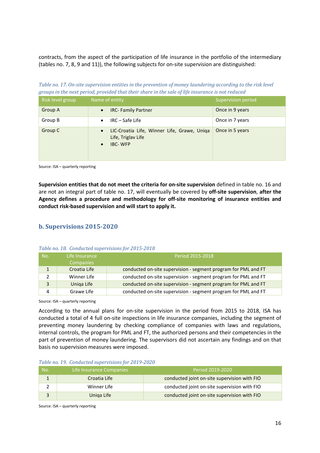contracts, from the aspect of the participation of life insurance in the portfolio of the intermediary (tables no. 7, 8, 9 and 11)), the following subjects for on-site supervision are distinguished:

<span id="page-15-1"></span>*Table no. 17. On-site supervision entities in the prevention of money laundering according to the risk level groups in the next period, provided that their share in the sale of life insurance is not reduced*

| Risk level group | Name of entity                                                                                                | Supervision period |
|------------------|---------------------------------------------------------------------------------------------------------------|--------------------|
| Group A          | <b>IRC-Family Partner</b><br>$\bullet$                                                                        | Once in 9 years    |
| Group B          | $IRC - Safe$ Life<br>$\bullet$                                                                                | Once in 7 years    |
| Group C          | LIC-Croatia Life, Winner Life, Grawe, Uniqa<br>$\bullet$<br>Life, Triglav Life<br><b>IBC-WFP</b><br>$\bullet$ | Once in 5 years    |

Source: ISA – quarterly reporting

**Supervision entities that do not meet the criteria for on-site supervision** defined in table no. 16 and are not an integral part of table no. 17, will eventually be covered by **off-site supervision**, **after the Agency defines a procedure and methodology for off-site monitoring of insurance entities and conduct risk-based supervision and will start to apply it.**

#### <span id="page-15-0"></span>**b. Supervisions 2015-2020**

| No. | Life Insurance<br><b>Companies</b> | Period 2015-2018                                               |
|-----|------------------------------------|----------------------------------------------------------------|
|     | Croatia Life                       | conducted on-site supervision - segment program for PML and FT |
|     | Winner Life                        | conducted on-site supervision - segment program for PML and FT |
| 3   | Uniga Life                         | conducted on-site supervision - segment program for PML and FT |
| 4   | Grawe Life                         | conducted on-site supervision - segment program for PML and FT |

<span id="page-15-2"></span>*Table no. 18. Conducted supervisions for 2015-2018* 

Source: ISA – quarterly reporting

According to the annual plans for on-site supervision in the period from 2015 to 2018, ISA has conducted a total of 4 full on-site inspections in life insurance companies, including the segment of preventing money laundering by checking compliance of companies with laws and regulations, internal controls, the program for PML and FT, the authorized persons and their competencies in the part of prevention of money laundering. The supervisors did not ascertain any findings and on that basis no supervision measures were imposed.

<span id="page-15-3"></span>

| ιNο. | Life Insurance Companies | Period 2019-2020                             |
|------|--------------------------|----------------------------------------------|
|      | Croatia Life             | conducted joint on-site supervision with FIO |
|      | Winner Life              | conducted joint on-site supervision with FIO |
|      | Uniga Life               | conducted joint on-site supervision with FIO |

Source: ISA – quarterly reporting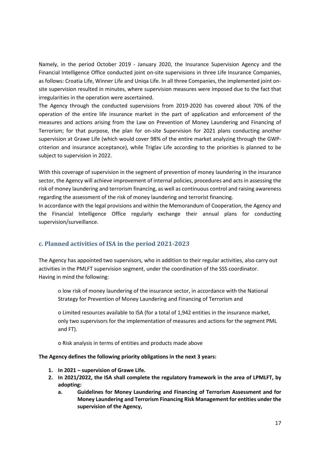Namely, in the period October 2019 - January 2020, the Insurance Supervision Agency and the Financial Intelligence Office conducted joint on-site supervisions in three Life Insurance Companies, as follows: Croatia Life, Winner Life and Uniqa Life. In all three Companies, the implemented joint onsite supervision resulted in minutes, where supervision measures were imposed due to the fact that irregularities in the operation were ascertained.

The Agency through the conducted supervisions from 2019-2020 has covered about 70% of the operation of the entire life insurance market in the part of application and enforcement of the measures and actions arising from the Law on Prevention of Money Laundering and Financing of Terrorism; for that purpose, the plan for on-site Supervision for 2021 plans conducting another supervision at Grawe Life (which would cover 98% of the entire market analyzing through the GWPcriterion and insurance acceptance), while Triglav Life according to the priorities is planned to be subject to supervision in 2022.

With this coverage of supervision in the segment of prevention of money laundering in the insurance sector, the Agency will achieve improvement of internal policies, procedures and acts in assessing the risk of money laundering and terrorism financing, as well as continuous control and raising awareness regarding the assessment of the risk of money laundering and terrorist financing.

In accordance with the legal provisions and within the Memorandum of Cooperation, the Agency and the Financial Intelligence Office regularly exchange their annual plans for conducting supervision/surveillance.

#### <span id="page-16-0"></span>**c. Planned activities of ISA in the period 2021-2023**

The Agency has appointed two supervisors, who in addition to their regular activities, also carry out activities in the PMLFT supervision segment, under the coordination of the SSS coordinator. Having in mind the following:

o low risk of money laundering of the insurance sector, in accordance with the National Strategy for Prevention of Money Laundering and Financing of Terrorism and

o Limited resources available to ISA (for a total of 1,942 entities in the insurance market, only two supervisors for the implementation of measures and actions for the segment PML and FT).

o Risk analysis in terms of entities and products made above

#### **The Agency defines the following priority obligations in the next 3 years:**

- **1. In 2021 – supervision of Grawe Life.**
- **2. In 2021/2022, the ISA shall complete the regulatory framework in the area of LPMLFT, by adopting:**
	- **a. Guidelines for Money Laundering and Financing of Terrorism Assessment and for Money Laundering and Terrorism Financing Risk Management for entities under the supervision of the Agency,**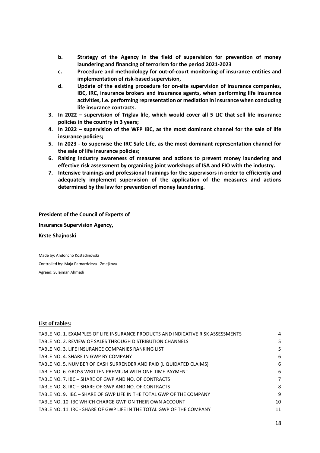- **b. Strategy of the Agency in the field of supervision for prevention of money laundering and financing of terrorism for the period 2021-2023**
- **c. Procedure and methodology for out-of-court monitoring of insurance entities and implementation of risk-based supervision,**
- **d. Update of the existing procedure for on-site supervision of insurance companies, IBC, IRC, insurance brokers and insurance agents, when performing life insurance activities, i.e. performing representation or mediation in insurance when concluding life insurance contracts.**
- **3. In 2022 – supervision of Triglav life, which would cover all 5 LIC that sell life insurance policies in the country in 3 years;**
- **4. In 2022 – supervision of the WFP IBC, as the most dominant channel for the sale of life insurance policies;**
- **5. In 2023 - to supervise the IRC Safe Life, as the most dominant representation channel for the sale of life insurance policies;**
- **6. Raising industry awareness of measures and actions to prevent money laundering and effective risk assessment by organizing joint workshops of ISA and FIO with the industry.**
- **7. Intensive trainings and professional trainings for the supervisors in order to efficiently and adequately implement supervision of the application of the measures and actions determined by the law for prevention of money laundering.**

**President of the Council of Experts of Insurance Supervision Agency, Krste Shajnoski**

Made by: Andoncho Kostadinovski Controlled by: Maja Parnardzieva - Zmejkova Agreed: Sulejman Ahmedi

#### **List of tables:**

| TABLE NO. 1. EXAMPLES OF LIFE INSURANCE PRODUCTS AND INDICATIVE RISK ASSESSMENTS | 4  |
|----------------------------------------------------------------------------------|----|
| TABLE NO. 2. REVIEW OF SALES THROUGH DISTRIBUTION CHANNELS                       | 5  |
| TABLE NO. 3. LIFE INSURANCE COMPANIES RANKING LIST                               | 5  |
| TABLE NO. 4. SHARE IN GWP BY COMPANY                                             | 6  |
| TABLE NO. 5. NUMBER OF CASH SURRENDER AND PAID (LIQUIDATED CLAIMS)               | 6  |
| TABLE NO. 6. GROSS WRITTEN PREMIUM WITH ONE-TIME PAYMENT                         | 6  |
| TABLE NO. 7. IBC - SHARE OF GWP AND NO. OF CONTRACTS                             | 7  |
| TABLE NO. 8. IRC - SHARE OF GWP AND NO. OF CONTRACTS                             | 8  |
| TABLE NO. 9. IBC - SHARE OF GWP LIFE IN THE TOTAL GWP OF THE COMPANY             | q  |
| TABLE NO. 10. IBC WHICH CHARGE GWP ON THEIR OWN ACCOUNT                          | 10 |
| TABLE NO. 11. IRC - SHARE OF GWP LIFE IN THE TOTAL GWP OF THE COMPANY            | 11 |